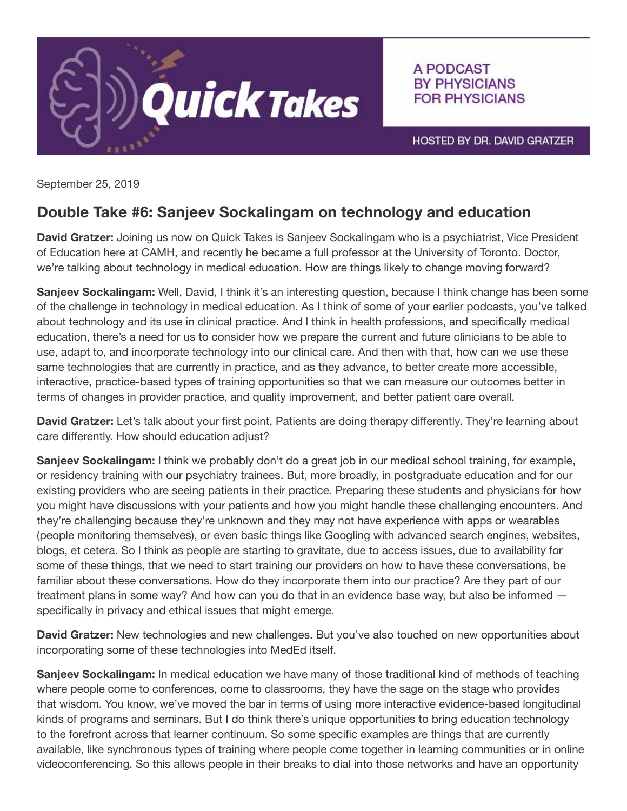

A PODCAST **BY PHYSICIANS FOR PHYSICIANS** 

HOSTED BY DR. DAVID GRATZER

September 25, 2019

## Double Take #6: Sanjeev Sockalingam on technology and education

David Gratzer: Joining us now on Quick Takes is Sanjeev Sockalingam who is a psychiatrist, Vice President of Education here at CAMH, and recently he became a full professor at the University of Toronto. Doctor, we're talking about technology in medical education. How are things likely to change moving forward?

Sanjeev Sockalingam: Well, David, I think it's an interesting question, because I think change has been some of the challenge in technology in medical education. As I think of some of your earlier podcasts, you've talked about technology and its use in clinical practice. And I think in health professions, and specifically medical education, there's a need for us to consider how we prepare the current and future clinicians to be able to use, adapt to, and incorporate technology into our clinical care. And then with that, how can we use these same technologies that are currently in practice, and as they advance, to better create more accessible, interactive, practice-based types of training opportunities so that we can measure our outcomes better in terms of changes in provider practice, and quality improvement, and better patient care overall.

David Gratzer: Let's talk about your first point. Patients are doing therapy differently. They're learning about care differently. How should education adjust?

Sanjeev Sockalingam: I think we probably don't do a great job in our medical school training, for example, or residency training with our psychiatry trainees. But, more broadly, in postgraduate education and for our existing providers who are seeing patients in their practice. Preparing these students and physicians for how you might have discussions with your patients and how you might handle these challenging encounters. And they're challenging because they're unknown and they may not have experience with apps or wearables (people monitoring themselves), or even basic things like Googling with advanced search engines, websites, blogs, et cetera. So I think as people are starting to gravitate, due to access issues, due to availability for some of these things, that we need to start training our providers on how to have these conversations, be familiar about these conversations. How do they incorporate them into our practice? Are they part of our treatment plans in some way? And how can you do that in an evidence base way, but also be informed specifically in privacy and ethical issues that might emerge.

David Gratzer: New technologies and new challenges. But you've also touched on new opportunities about incorporating some of these technologies into MedEd itself.

Sanjeev Sockalingam: In medical education we have many of those traditional kind of methods of teaching where people come to conferences, come to classrooms, they have the sage on the stage who provides that wisdom. You know, we've moved the bar in terms of using more interactive evidence-based longitudinal kinds of programs and seminars. But I do think there's unique opportunities to bring education technology to the forefront across that learner continuum. So some specific examples are things that are currently available, like synchronous types of training where people come together in learning communities or in online videoconferencing. So this allows people in their breaks to dial into those networks and have an opportunity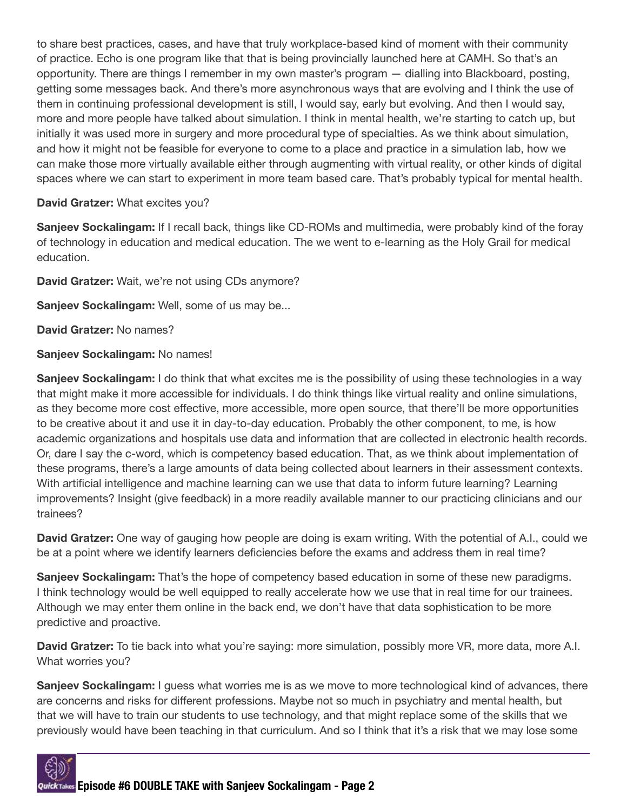to share best practices, cases, and have that truly workplace-based kind of moment with their community of practice. Echo is one program like that that is being provincially launched here at CAMH. So that's an opportunity. There are things I remember in my own master's program — dialling into Blackboard, posting, getting some messages back. And there's more asynchronous ways that are evolving and I think the use of them in continuing professional development is still, I would say, early but evolving. And then I would say, more and more people have talked about simulation. I think in mental health, we're starting to catch up, but initially it was used more in surgery and more procedural type of specialties. As we think about simulation, and how it might not be feasible for everyone to come to a place and practice in a simulation lab, how we can make those more virtually available either through augmenting with virtual reality, or other kinds of digital spaces where we can start to experiment in more team based care. That's probably typical for mental health.

## David Gratzer: What excites you?

Sanjeev Sockalingam: If I recall back, things like CD-ROMs and multimedia, were probably kind of the foray of technology in education and medical education. The we went to e-learning as the Holy Grail for medical education.

David Gratzer: Wait, we're not using CDs anymore?

Sanjeev Sockalingam: Well, some of us may be...

David Gratzer: No names?

## Sanjeev Sockalingam: No names!

**Sanjeev Sockalingam:** I do think that what excites me is the possibility of using these technologies in a way that might make it more accessible for individuals. I do think things like virtual reality and online simulations, as they become more cost effective, more accessible, more open source, that there'll be more opportunities to be creative about it and use it in day-to-day education. Probably the other component, to me, is how academic organizations and hospitals use data and information that are collected in electronic health records. Or, dare I say the c-word, which is competency based education. That, as we think about implementation of these programs, there's a large amounts of data being collected about learners in their assessment contexts. With artificial intelligence and machine learning can we use that data to inform future learning? Learning improvements? Insight (give feedback) in a more readily available manner to our practicing clinicians and our trainees?

**David Gratzer:** One way of gauging how people are doing is exam writing. With the potential of A.I., could we be at a point where we identify learners deficiencies before the exams and address them in real time?

**Sanjeev Sockalingam:** That's the hope of competency based education in some of these new paradigms. I think technology would be well equipped to really accelerate how we use that in real time for our trainees. Although we may enter them online in the back end, we don't have that data sophistication to be more predictive and proactive.

David Gratzer: To tie back into what you're saying: more simulation, possibly more VR, more data, more A.I. What worries you?

**Sanjeev Sockalingam:** I guess what worries me is as we move to more technological kind of advances, there are concerns and risks for different professions. Maybe not so much in psychiatry and mental health, but that we will have to train our students to use technology, and that might replace some of the skills that we previously would have been teaching in that curriculum. And so I think that it's a risk that we may lose some